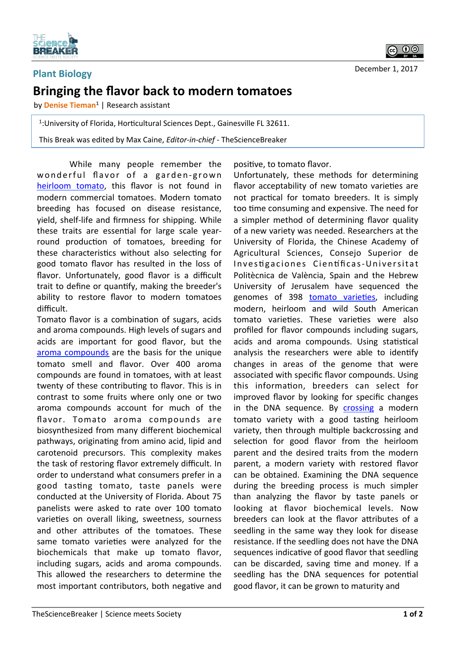

## **Plant Biology Bringing the flavor back to modern tomatoes**

by **Denise Tieman<sup>1</sup>** | Research assistant

<sup>1</sup>: University of Florida, Horticultural Sciences Dept., Gainesville FL 32611.

This Break was edited by Max Caine, *Editor-in-chief* - TheScienceBreaker

While many people remember the wonderful flavor of a garden-grown heirloom tomato, this flavor is not found in modern commercial tomatoes. Modern tomato breeding has focused on disease resistance, yield, shelf-life and firmness for shipping. While these traits are essential for large scale yearround production of tomatoes, breeding for these characteristics without also selecting for good tomato flavor has resulted in the loss of flavor. Unfortunately, good flavor is a difficult trait to define or quantify, making the breeder's ability to restore flavor to modern tomatoes difficult. 

Tomato flavor is a combination of sugars, acids and aroma compounds. High levels of sugars and acids are important for good flavor, but the aroma compounds are the basis for the unique tomato smell and flavor. Over 400 aroma compounds are found in tomatoes, with at least twenty of these contributing to flavor. This is in contrast to some fruits where only one or two aroma compounds account for much of the flavor. Tomato aroma compounds are biosynthesized from many different biochemical pathways, originating from amino acid, lipid and carotenoid precursors. This complexity makes the task of restoring flavor extremely difficult. In order to understand what consumers prefer in a good tasting tomato, taste panels were conducted at the University of Florida. About 75 panelists were asked to rate over 100 tomato varieties on overall liking, sweetness, sourness and other attributes of the tomatoes. These same tomato varieties were analyzed for the biochemicals that make up tomato flavor, including sugars, acids and aroma compounds. This allowed the researchers to determine the most important contributors, both negative and

positive, to tomato flavor.

Unfortunately, these methods for determining flavor acceptability of new tomato varieties are not practical for tomato breeders. It is simply too time consuming and expensive. The need for a simpler method of determining flavor quality of a new variety was needed. Researchers at the University of Florida, the Chinese Academy of Agricultural Sciences, Consejo Superior de Investigaciones Científicas-Universitat Politècnica de València, Spain and the Hebrew University of Jerusalem have sequenced the genomes of 398 tomato varieties, including modern, heirloom and wild South American tomato varieties. These varieties were also profiled for flavor compounds including sugars, acids and aroma compounds. Using statistical analysis the researchers were able to identify changes in areas of the genome that were associated with specific flavor compounds. Using this information, breeders can select for improved flavor by looking for specific changes in the DNA sequence. By crossing a modern tomato variety with a good tasting heirloom variety, then through multiple backcrossing and selection for good flavor from the heirloom parent and the desired traits from the modern parent, a modern variety with restored flavor can be obtained. Examining the DNA sequence during the breeding process is much simpler than analyzing the flavor by taste panels or looking at flavor biochemical levels. Now breeders can look at the flavor attributes of a seedling in the same way they look for disease resistance. If the seedling does not have the DNA sequences indicative of good flavor that seedling can be discarded, saving time and money. If a seedling has the DNA sequences for potential good flavor, it can be grown to maturity and